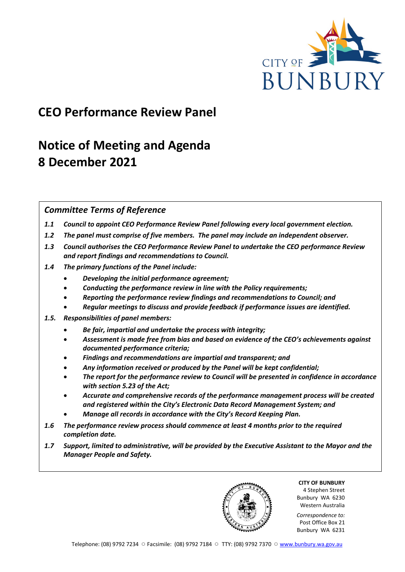

### **CEO Performance Review Panel**

## **Notice of Meeting and Agenda 8 December 2021**

#### *Committee Terms of Reference*

- *1.1 Council to appoint CEO Performance Review Panel following every local government election.*
- *1.2 The panel must comprise of five members. The panel may include an independent observer.*
- *1.3 Council authorises the CEO Performance Review Panel to undertake the CEO performance Review and report findings and recommendations to Council.*
- *1.4 The primary functions of the Panel include:*
	- *Developing the initial performance agreement;*
	- *Conducting the performance review in line with the Policy requirements;*
	- *Reporting the performance review findings and recommendations to Council; and*
	- *Regular meetings to discuss and provide feedback if performance issues are identified.*
- *1.5. Responsibilities of panel members:*
	- *Be fair, impartial and undertake the process with integrity;*
	- *Assessment is made free from bias and based on evidence of the CEO's achievements against documented performance criteria;*
	- *Findings and recommendations are impartial and transparent; and*
	- *Any information received or produced by the Panel will be kept confidential;*
	- *The report for the performance review to Council will be presented in confidence in accordance with section 5.23 of the Act;*
	- *Accurate and comprehensive records of the performance management process will be created and registered within the City's Electronic Data Record Management System; and*
	- *Manage all records in accordance with the City's Record Keeping Plan.*
- *1.6 The performance review process should commence at least 4 months prior to the required completion date.*
- *1.7 Support, limited to administrative, will be provided by the Executive Assistant to the Mayor and the Manager People and Safety.*

**CITY OF BUNBURY** 4 Stephen Street Bunbury WA 6230 Western Australia

*Correspondence to:* Post Office Box 21 Bunbury WA 6231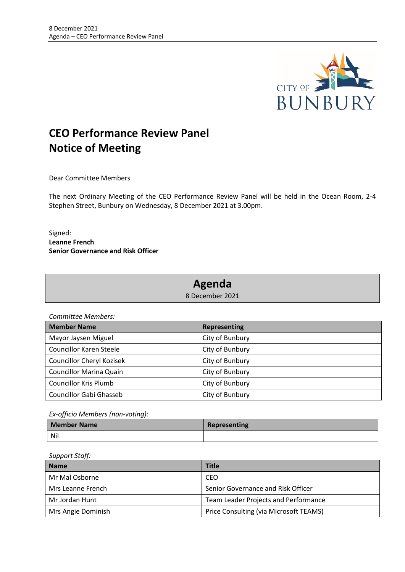

### **CEO Performance Review Panel Notice of Meeting**

Dear Committee Members

The next Ordinary Meeting of the CEO Performance Review Panel will be held in the Ocean Room, 2-4 Stephen Street, Bunbury on Wednesday, 8 December 2021 at 3.00pm.

Signed: **Leanne French Senior Governance and Risk Officer**

### **Agenda**

8 December 2021

*Committee Members:*

| <b>Member Name</b>             | <b>Representing</b> |
|--------------------------------|---------------------|
| Mayor Jaysen Miguel            | City of Bunbury     |
| <b>Councillor Karen Steele</b> | City of Bunbury     |
| Councillor Cheryl Kozisek      | City of Bunbury     |
| <b>Councillor Marina Quain</b> | City of Bunbury     |
| <b>Councillor Kris Plumb</b>   | City of Bunbury     |
| <b>Councillor Gabi Ghasseb</b> | City of Bunbury     |

*Ex-officio Members (non-voting):*

| Member Name | Representing |
|-------------|--------------|
| <b>Nil</b>  |              |

*Support Staff:*

| <b>Name</b>        | <b>Title</b>                           |
|--------------------|----------------------------------------|
| Mr Mal Osborne     | CEO                                    |
| Mrs Leanne French  | Senior Governance and Risk Officer     |
| Mr Jordan Hunt     | Team Leader Projects and Performance   |
| Mrs Angie Dominish | Price Consulting (via Microsoft TEAMS) |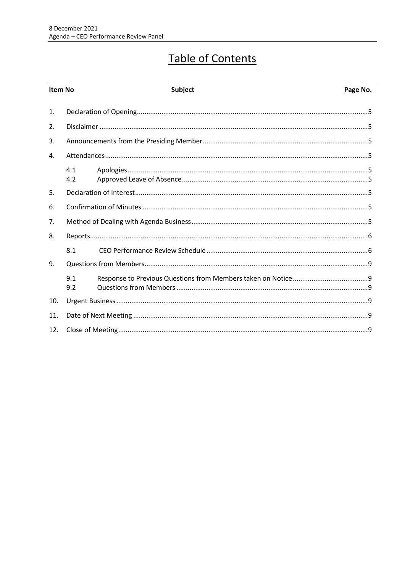# Table of Contents

| Item No |            | Subject | Page No. |
|---------|------------|---------|----------|
| 1.      |            |         |          |
| 2.      |            |         |          |
| 3.      |            |         |          |
| 4.      |            |         |          |
|         | 4.1<br>4.2 |         |          |
| 5.      |            |         |          |
| 6.      |            |         |          |
| 7.      |            |         |          |
| 8.      |            |         |          |
|         | 8.1        |         |          |
| 9.      |            |         |          |
|         | 9.1<br>9.2 |         |          |
| 10.     |            |         |          |
| 11.     |            |         |          |
| 12.     |            |         |          |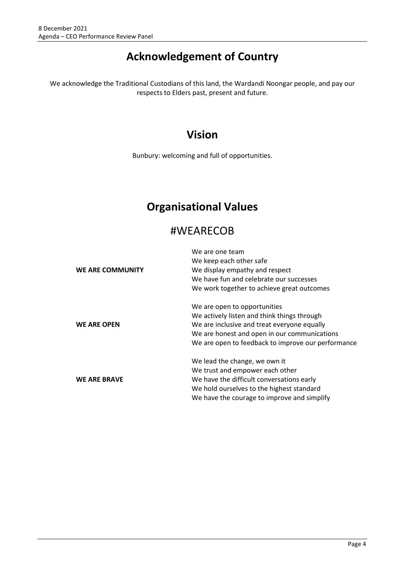### **Acknowledgement of Country**

We acknowledge the Traditional Custodians of this land, the Wardandi Noongar people, and pay our respects to Elders past, present and future.

### **Vision**

Bunbury: welcoming and full of opportunities.

### **Organisational Values**

### #WEARECOB

|                     | We are one team                                    |
|---------------------|----------------------------------------------------|
|                     | We keep each other safe                            |
| WE ARE COMMUNITY    | We display empathy and respect                     |
|                     | We have fun and celebrate our successes            |
|                     | We work together to achieve great outcomes         |
|                     | We are open to opportunities                       |
| <b>WE ARE OPEN</b>  | We actively listen and think things through        |
|                     | We are inclusive and treat everyone equally        |
|                     | We are honest and open in our communications       |
|                     | We are open to feedback to improve our performance |
|                     | We lead the change, we own it                      |
| <b>WE ARE BRAVE</b> | We trust and empower each other                    |
|                     | We have the difficult conversations early          |
|                     | We hold ourselves to the highest standard          |
|                     | We have the courage to improve and simplify        |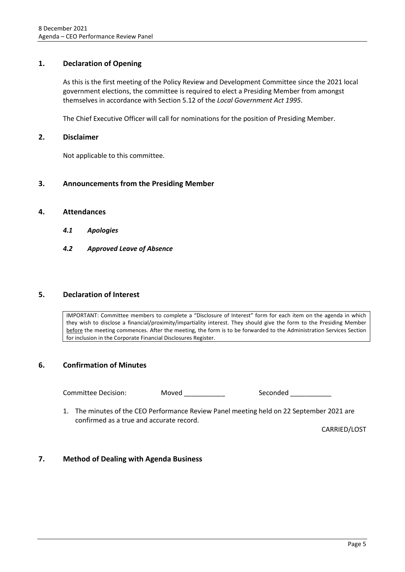#### <span id="page-4-0"></span>**1. Declaration of Opening**

As this is the first meeting of the Policy Review and Development Committee since the 2021 local government elections, the committee is required to elect a Presiding Member from amongst themselves in accordance with Section 5.12 of the *Local Government Act 1995*.

The Chief Executive Officer will call for nominations for the position of Presiding Member.

#### <span id="page-4-1"></span>**2. Disclaimer**

Not applicable to this committee.

#### <span id="page-4-2"></span>**3. Announcements from the Presiding Member**

#### <span id="page-4-4"></span><span id="page-4-3"></span>**4. Attendances**

- *4.1 Apologies*
- <span id="page-4-5"></span>*4.2 Approved Leave of Absence*

#### <span id="page-4-6"></span>**5. Declaration of Interest**

IMPORTANT: Committee members to complete a "Disclosure of Interest" form for each item on the agenda in which they wish to disclose a financial/proximity/impartiality interest. They should give the form to the Presiding Member before the meeting commences. After the meeting, the form is to be forwarded to the Administration Services Section for inclusion in the Corporate Financial Disclosures Register.

#### <span id="page-4-7"></span>**6. Confirmation of Minutes**

Committee Decision: Moved \_\_\_\_\_\_\_\_\_\_ Seconded \_\_\_\_\_\_\_\_\_

1. The minutes of the CEO Performance Review Panel meeting held on 22 September 2021 are confirmed as a true and accurate record.

CARRIED/LOST

#### <span id="page-4-8"></span>**7. Method of Dealing with Agenda Business**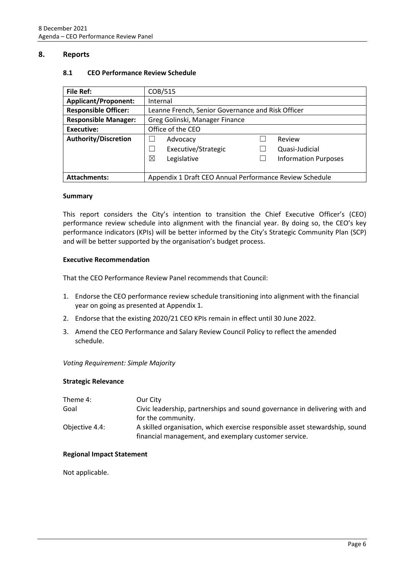#### <span id="page-5-1"></span><span id="page-5-0"></span>**8. Reports**

| <b>File Ref:</b>            | COB/515                                                 |                             |
|-----------------------------|---------------------------------------------------------|-----------------------------|
| <b>Applicant/Proponent:</b> | Internal                                                |                             |
| <b>Responsible Officer:</b> | Leanne French, Senior Governance and Risk Officer       |                             |
| <b>Responsible Manager:</b> | Greg Golinski, Manager Finance                          |                             |
| Executive:                  | Office of the CEO                                       |                             |
| <b>Authority/Discretion</b> | Advocacy                                                | Review                      |
|                             | Executive/Strategic                                     | Quasi-Judicial              |
|                             | ⊠<br>Legislative                                        | <b>Information Purposes</b> |
|                             |                                                         |                             |
| <b>Attachments:</b>         | Appendix 1 Draft CEO Annual Performance Review Schedule |                             |

#### **8.1 CEO Performance Review Schedule**

#### **Summary**

This report considers the City's intention to transition the Chief Executive Officer's (CEO) performance review schedule into alignment with the financial year. By doing so, the CEO's key performance indicators (KPIs) will be better informed by the City's Strategic Community Plan (SCP) and will be better supported by the organisation's budget process.

#### **Executive Recommendation**

That the CEO Performance Review Panel recommends that Council:

- 1. Endorse the CEO performance review schedule transitioning into alignment with the financial year on going as presented at Appendix 1.
- 2. Endorse that the existing 2020/21 CEO KPIs remain in effect until 30 June 2022.
- 3. Amend the CEO Performance and Salary Review Council Policy to reflect the amended schedule.

#### *Voting Requirement: Simple Majority*

#### **Strategic Relevance**

| Theme 4:       | Our City                                                                                                                             |
|----------------|--------------------------------------------------------------------------------------------------------------------------------------|
| Goal           | Civic leadership, partnerships and sound governance in delivering with and                                                           |
|                | for the community.                                                                                                                   |
| Objective 4.4: | A skilled organisation, which exercise responsible asset stewardship, sound<br>financial management, and exemplary customer service. |

#### **Regional Impact Statement**

Not applicable.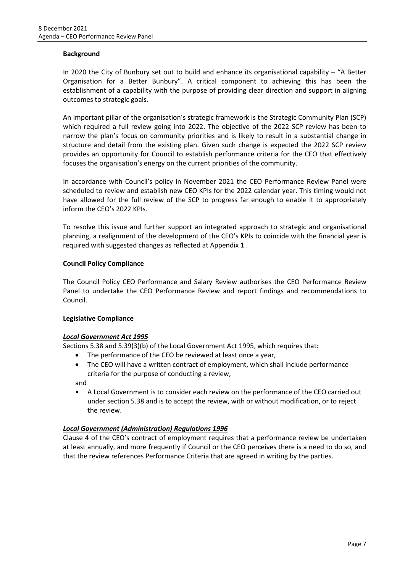#### **Background**

In 2020 the City of Bunbury set out to build and enhance its organisational capability – "A Better Organisation for a Better Bunbury". A critical component to achieving this has been the establishment of a capability with the purpose of providing clear direction and support in aligning outcomes to strategic goals.

An important pillar of the organisation's strategic framework is the Strategic Community Plan (SCP) which required a full review going into 2022. The objective of the 2022 SCP review has been to narrow the plan's focus on community priorities and is likely to result in a substantial change in structure and detail from the existing plan. Given such change is expected the 2022 SCP review provides an opportunity for Council to establish performance criteria for the CEO that effectively focuses the organisation's energy on the current priorities of the community.

In accordance with Council's policy in November 2021 the CEO Performance Review Panel were scheduled to review and establish new CEO KPIs for the 2022 calendar year. This timing would not have allowed for the full review of the SCP to progress far enough to enable it to appropriately inform the CEO's 2022 KPIs.

To resolve this issue and further support an integrated approach to strategic and organisational planning, a realignment of the development of the CEO's KPIs to coincide with the financial year is required with suggested changes as reflected at Appendix 1 .

#### **Council Policy Compliance**

The Council Policy CEO Performance and Salary Review authorises the CEO Performance Review Panel to undertake the CEO Performance Review and report findings and recommendations to Council.

#### **Legislative Compliance**

#### *Local Government Act 1995*

Sections 5.38 and 5.39(3)(b) of the Local Government Act 1995, which requires that:

- The performance of the CEO be reviewed at least once a year,
- The CEO will have a written contract of employment, which shall include performance criteria for the purpose of conducting a review,

and

• A Local Government is to consider each review on the performance of the CEO carried out under section 5.38 and is to accept the review, with or without modification, or to reject the review.

#### *Local Government (Administration) Regulations 1996*

Clause 4 of the CEO's contract of employment requires that a performance review be undertaken at least annually, and more frequently if Council or the CEO perceives there is a need to do so, and that the review references Performance Criteria that are agreed in writing by the parties.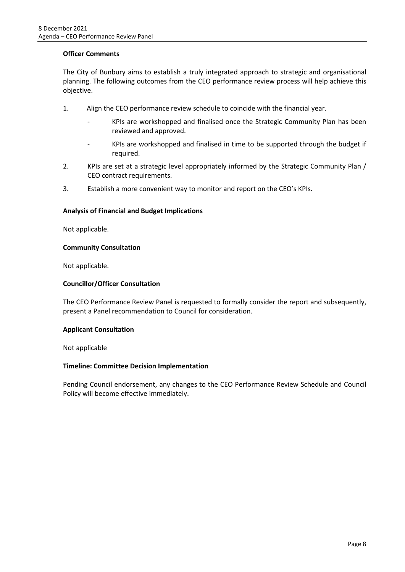#### **Officer Comments**

The City of Bunbury aims to establish a truly integrated approach to strategic and organisational planning. The following outcomes from the CEO performance review process will help achieve this objective.

- 1. Align the CEO performance review schedule to coincide with the financial year.
	- KPIs are workshopped and finalised once the Strategic Community Plan has been reviewed and approved.
	- KPIs are workshopped and finalised in time to be supported through the budget if required.
- 2. KPIs are set at a strategic level appropriately informed by the Strategic Community Plan / CEO contract requirements.
- 3. Establish a more convenient way to monitor and report on the CEO's KPIs.

#### **Analysis of Financial and Budget Implications**

Not applicable.

#### **Community Consultation**

Not applicable.

#### **Councillor/Officer Consultation**

The CEO Performance Review Panel is requested to formally consider the report and subsequently, present a Panel recommendation to Council for consideration.

#### **Applicant Consultation**

Not applicable

#### **Timeline: Committee Decision Implementation**

Pending Council endorsement, any changes to the CEO Performance Review Schedule and Council Policy will become effective immediately.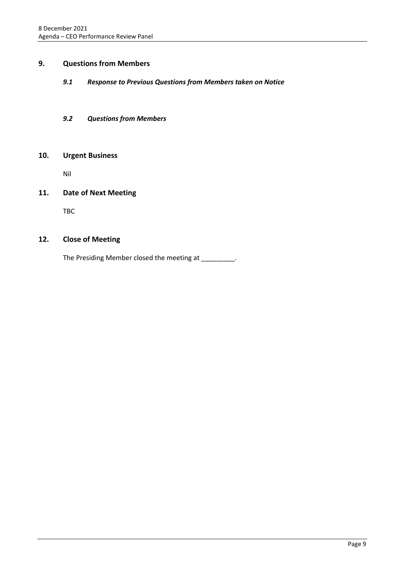#### <span id="page-8-1"></span><span id="page-8-0"></span>**9. Questions from Members**

#### *9.1 Response to Previous Questions from Members taken on Notice*

#### <span id="page-8-2"></span>*9.2 Questions from Members*

#### <span id="page-8-3"></span>**10. Urgent Business**

Nil

#### <span id="page-8-4"></span>**11. Date of Next Meeting**

TBC

#### <span id="page-8-5"></span>**12. Close of Meeting**

The Presiding Member closed the meeting at \_\_\_\_\_\_\_\_.